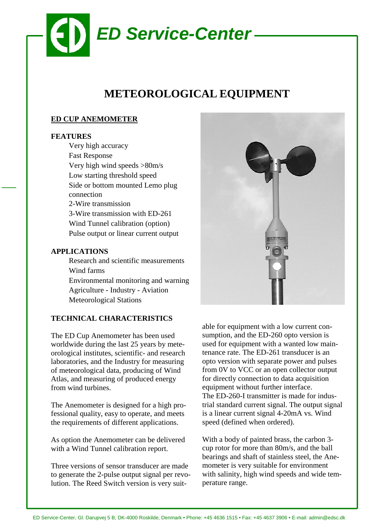

# **METEOROLOGICAL EQUIPMENT**

### **ED CUP ANEMOMETER**

#### **FEATURES**

Very high accuracy Fast Response Very high wind speeds >80m/s Low starting threshold speed Side or bottom mounted Lemo plug connection 2-Wire transmission 3-Wire transmission with ED-261 Wind Tunnel calibration (option) Pulse output or linear current output

#### **APPLICATIONS**

Research and scientific measurements Wind farms Environmental monitoring and warning Agriculture - Industry - Aviation Meteorological Stations

## **TECHNICAL CHARACTERISTICS**

The ED Cup Anemometer has been used worldwide during the last 25 years by meteorological institutes, scientific- and research laboratories, and the Industry for measuring of meteorological data, producing of Wind Atlas, and measuring of produced energy from wind turbines.

The Anemometer is designed for a high professional quality, easy to operate, and meets the requirements of different applications.

As option the Anemometer can be delivered with a Wind Tunnel calibration report.

Three versions of sensor transducer are made to generate the 2-pulse output signal per revolution. The Reed Switch version is very suit-



able for equipment with a low current consumption, and the ED-260 opto version is used for equipment with a wanted low maintenance rate. The ED-261 transducer is an opto version with separate power and pulses from 0V to VCC or an open collector output for directly connection to data acquisition equipment without further interface. The ED-260-I transmitter is made for industrial standard current signal. The output signal is a linear current signal 4-20mA vs. Wind speed (defined when ordered).

With a body of painted brass, the carbon 3 cup rotor for more than 80m/s, and the ball bearings and shaft of stainless steel, the Anemometer is very suitable for environment with salinity, high wind speeds and wide temperature range.